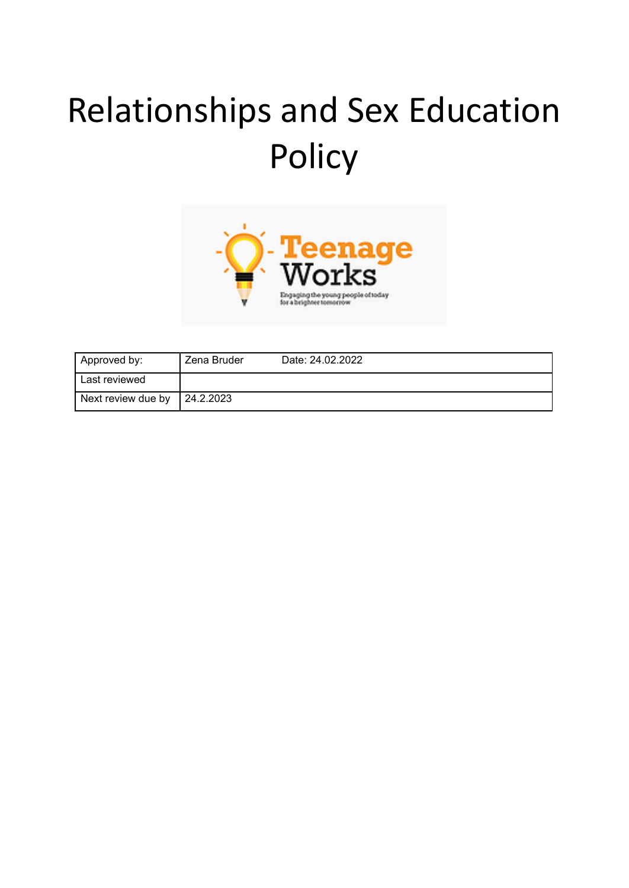# Relationships and Sex Education Policy



| Approved by:       | Zena Bruder | Date: 24.02.2022 |
|--------------------|-------------|------------------|
| Last reviewed      |             |                  |
| Next review due by | 24.2.2023   |                  |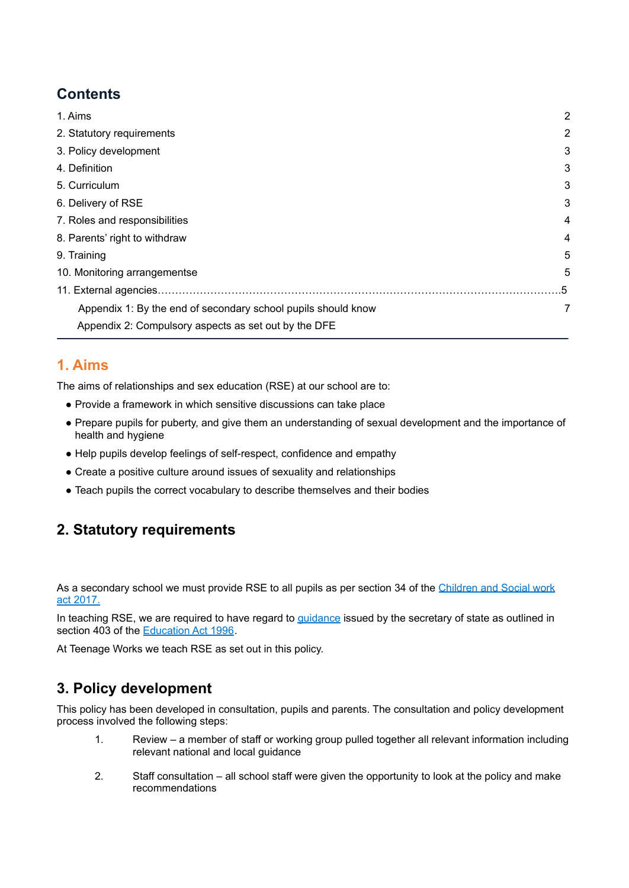## **Contents**

| 1. Aims                                                       | $\overline{2}$ |
|---------------------------------------------------------------|----------------|
| 2. Statutory requirements                                     | 2              |
| 3. Policy development                                         | 3              |
| 4. Definition                                                 | 3              |
| 5. Curriculum                                                 | 3              |
| 6. Delivery of RSE                                            | 3              |
| 7. Roles and responsibilities                                 | 4              |
| 8. Parents' right to withdraw                                 | 4              |
| 9. Training                                                   | 5              |
| 10. Monitoring arrangementse                                  | 5              |
|                                                               | .5             |
| Appendix 1: By the end of secondary school pupils should know |                |
| Appendix 2: Compulsory aspects as set out by the DFE          |                |

#### <span id="page-1-0"></span>**1. Aims**

The aims of relationships and sex education (RSE) at our school are to:

- Provide a framework in which sensitive discussions can take place
- Prepare pupils for puberty, and give them an understanding of sexual development and the importance of health and hygiene
- Help pupils develop feelings of self-respect, confidence and empathy
- Create a positive culture around issues of sexuality and relationships
- Teach pupils the correct vocabulary to describe themselves and their bodies

## <span id="page-1-1"></span>**2. Statutory requirements**

As a secondary school we must provide RSE to all pupils as per section 34 of the [Children](http://www.legislation.gov.uk/ukpga/2017/16/section/34/enacted) and Social work act [2017.](http://www.legislation.gov.uk/ukpga/2017/16/section/34/enacted)

In teaching RSE, we are required to have regard to **quidance** issued by the secretary of state as outlined in section 403 of the [Education](http://www.legislation.gov.uk/ukpga/1996/56/contents) Act 1996.

<span id="page-1-2"></span>At Teenage Works we teach RSE as set out in this policy.

## **3. Policy development**

This policy has been developed in consultation, pupils and parents. The consultation and policy development process involved the following steps:

- 1. Review a member of staff or working group pulled together all relevant information including relevant national and local guidance
- 2. Staff consultation all school staff were given the opportunity to look at the policy and make recommendations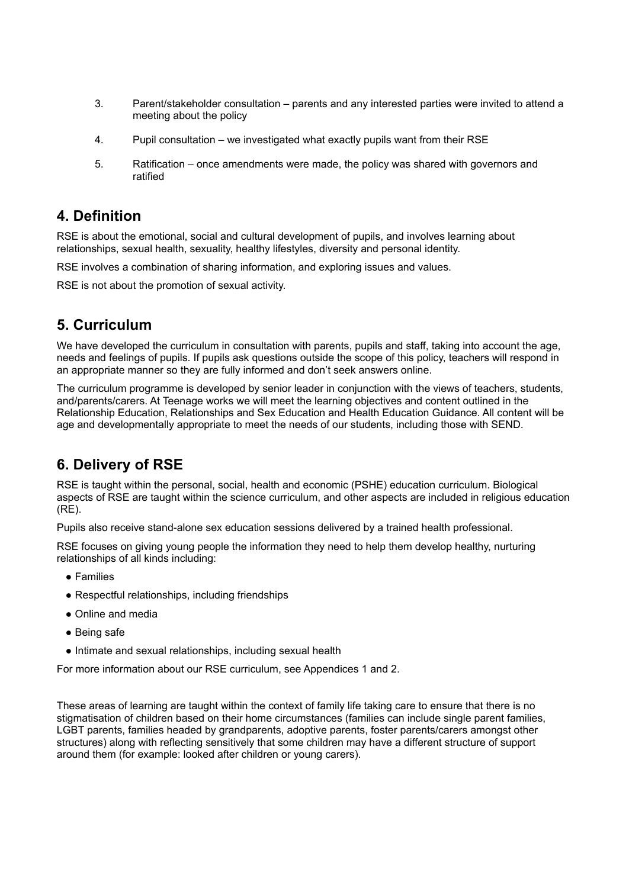- 3. Parent/stakeholder consultation parents and any interested parties were invited to attend a meeting about the policy
- 4. Pupil consultation we investigated what exactly pupils want from their RSE
- 5. Ratification once amendments were made, the policy was shared with governors and ratified

#### **4. Definition**

RSE is about the emotional, social and cultural development of pupils, and involves learning about relationships, sexual health, sexuality, healthy lifestyles, diversity and personal identity.

RSE involves a combination of sharing information, and exploring issues and values.

<span id="page-2-0"></span>RSE is not about the promotion of sexual activity.

#### **5. Curriculum**

We have developed the curriculum in consultation with parents, pupils and staff, taking into account the age, needs and feelings of pupils. If pupils ask questions outside the scope of this policy, teachers will respond in an appropriate manner so they are fully informed and don't seek answers online.

The curriculum programme is developed by senior leader in conjunction with the views of teachers, students, and/parents/carers. At Teenage works we will meet the learning objectives and content outlined in the Relationship Education, Relationships and Sex Education and Health Education Guidance. All content will be age and developmentally appropriate to meet the needs of our students, including those with SEND.

## <span id="page-2-1"></span>**6. Delivery of RSE**

RSE is taught within the personal, social, health and economic (PSHE) education curriculum. Biological aspects of RSE are taught within the science curriculum, and other aspects are included in religious education (RE).

Pupils also receive stand-alone sex education sessions delivered by a trained health professional.

RSE focuses on giving young people the information they need to help them develop healthy, nurturing relationships of all kinds including:

- Families
- Respectful relationships, including friendships
- Online and media
- Being safe
- Intimate and sexual relationships, including sexual health

For more information about our RSE curriculum, see Appendices 1 and 2.

<span id="page-2-2"></span>These areas of learning are taught within the context of family life taking care to ensure that there is no stigmatisation of children based on their home circumstances (families can include single parent families, LGBT parents, families headed by grandparents, adoptive parents, foster parents/carers amongst other structures) along with reflecting sensitively that some children may have a different structure of support around them (for example: looked after children or young carers).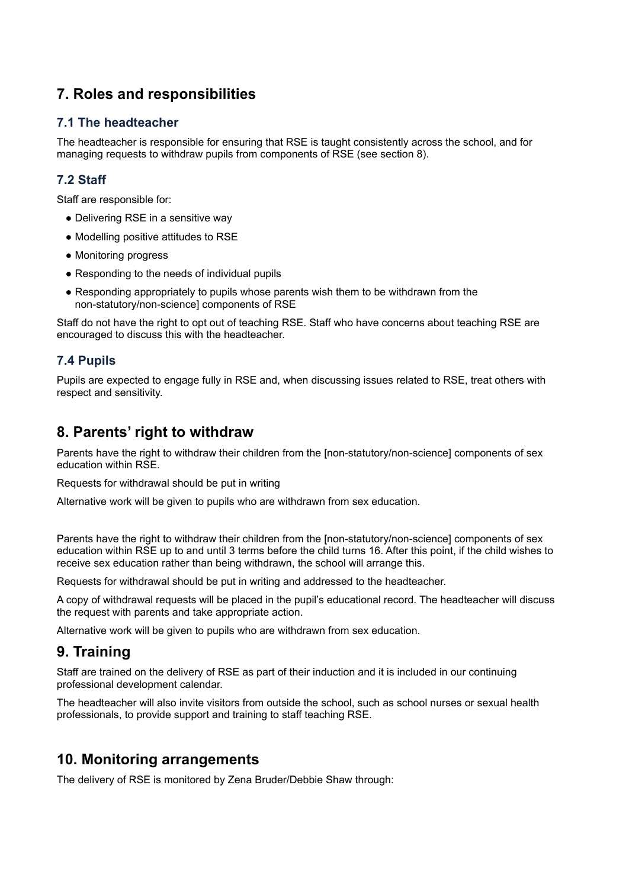## **7. Roles and responsibilities**

#### **7.1 The headteacher**

The headteacher is responsible for ensuring that RSE is taught consistently across the school, and for managing requests to withdraw pupils from components of RSE (see section 8).

#### **7.2 Staff**

Staff are responsible for:

- Delivering RSE in a sensitive way
- Modelling positive attitudes to RSE
- Monitoring progress
- Responding to the needs of individual pupils
- Responding appropriately to pupils whose parents wish them to be withdrawn from the non-statutory/non-science] components of RSE

Staff do not have the right to opt out of teaching RSE. Staff who have concerns about teaching RSE are encouraged to discuss this with the headteacher.

#### **7.4 Pupils**

Pupils are expected to engage fully in RSE and, when discussing issues related to RSE, treat others with respect and sensitivity.

#### <span id="page-3-0"></span>**8. Parents' right to withdraw**

Parents have the right to withdraw their children from the [non-statutory/non-science] components of sex education within RSE.

Requests for withdrawal should be put in writing

Alternative work will be given to pupils who are withdrawn from sex education.

Parents have the right to withdraw their children from the [non-statutory/non-science] components of sex education within RSE up to and until 3 terms before the child turns 16. After this point, if the child wishes to receive sex education rather than being withdrawn, the school will arrange this.

Requests for withdrawal should be put in writing and addressed to the headteacher.

A copy of withdrawal requests will be placed in the pupil's educational record. The headteacher will discuss the request with parents and take appropriate action.

<span id="page-3-1"></span>Alternative work will be given to pupils who are withdrawn from sex education.

## **9. Training**

Staff are trained on the delivery of RSE as part of their induction and it is included in our continuing professional development calendar.

The headteacher will also invite visitors from outside the school, such as school nurses or sexual health professionals, to provide support and training to staff teaching RSE.

## <span id="page-3-2"></span>**10. Monitoring arrangements**

The delivery of RSE is monitored by Zena Bruder/Debbie Shaw through: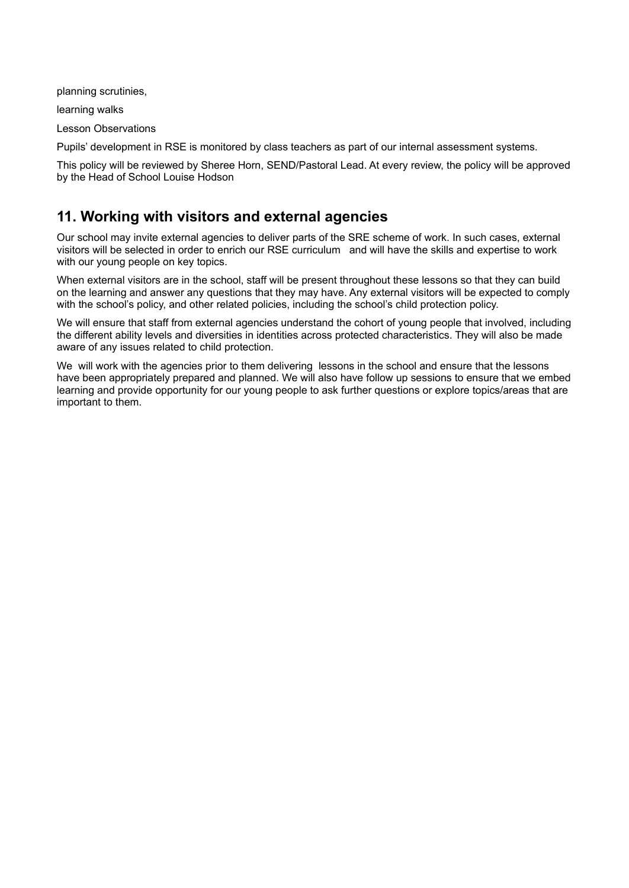planning scrutinies,

learning walks

Lesson Observations

Pupils' development in RSE is monitored by class teachers as part of our internal assessment systems.

This policy will be reviewed by Sheree Horn, SEND/Pastoral Lead. At every review, the policy will be approved by the Head of School Louise Hodson

#### **11. Working with visitors and external agencies**

Our school may invite external agencies to deliver parts of the SRE scheme of work. In such cases, external visitors will be selected in order to enrich our RSE curriculum and will have the skills and expertise to work with our young people on key topics.

When external visitors are in the school, staff will be present throughout these lessons so that they can build on the learning and answer any questions that they may have. Any external visitors will be expected to comply with the school's policy, and other related policies, including the school's child protection policy.

We will ensure that staff from external agencies understand the cohort of young people that involved, including the different ability levels and diversities in identities across protected characteristics. They will also be made aware of any issues related to child protection.

We will work with the agencies prior to them delivering lessons in the school and ensure that the lessons have been appropriately prepared and planned. We will also have follow up sessions to ensure that we embed learning and provide opportunity for our young people to ask further questions or explore topics/areas that are important to them.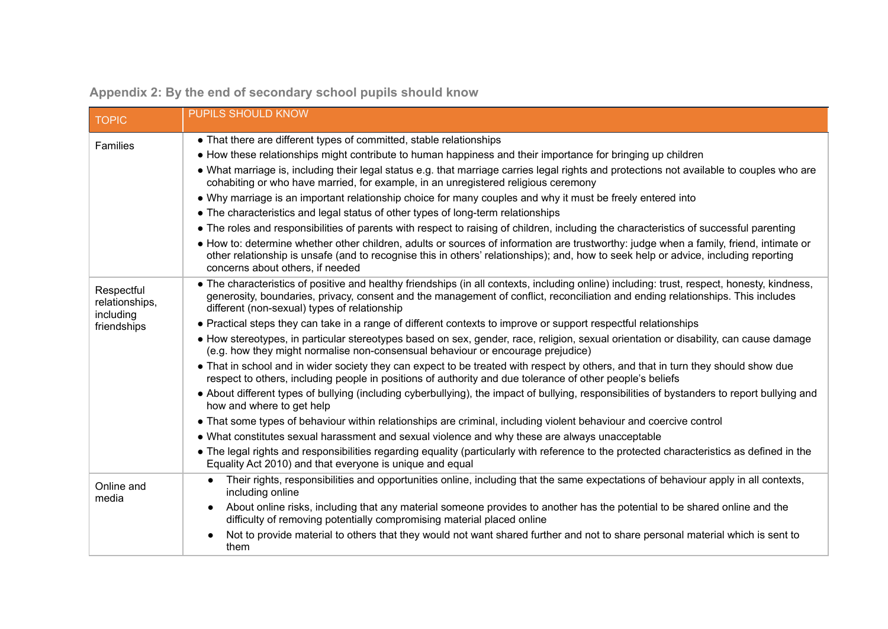| <b>TOPIC</b>                              | <b>PUPILS SHOULD KNOW</b>                                                                                                                                                                                                                                                                                                      |
|-------------------------------------------|--------------------------------------------------------------------------------------------------------------------------------------------------------------------------------------------------------------------------------------------------------------------------------------------------------------------------------|
| Families                                  | • That there are different types of committed, stable relationships                                                                                                                                                                                                                                                            |
|                                           | • How these relationships might contribute to human happiness and their importance for bringing up children                                                                                                                                                                                                                    |
|                                           | • What marriage is, including their legal status e.g. that marriage carries legal rights and protections not available to couples who are<br>cohabiting or who have married, for example, in an unregistered religious ceremony                                                                                                |
|                                           | • Why marriage is an important relationship choice for many couples and why it must be freely entered into                                                                                                                                                                                                                     |
|                                           | • The characteristics and legal status of other types of long-term relationships                                                                                                                                                                                                                                               |
|                                           | • The roles and responsibilities of parents with respect to raising of children, including the characteristics of successful parenting                                                                                                                                                                                         |
|                                           | • How to: determine whether other children, adults or sources of information are trustworthy: judge when a family, friend, intimate or<br>other relationship is unsafe (and to recognise this in others' relationships); and, how to seek help or advice, including reporting<br>concerns about others, if needed              |
| Respectful<br>relationships,<br>including | • The characteristics of positive and healthy friendships (in all contexts, including online) including: trust, respect, honesty, kindness,<br>generosity, boundaries, privacy, consent and the management of conflict, reconciliation and ending relationships. This includes<br>different (non-sexual) types of relationship |
| friendships                               | • Practical steps they can take in a range of different contexts to improve or support respectful relationships                                                                                                                                                                                                                |
|                                           | • How stereotypes, in particular stereotypes based on sex, gender, race, religion, sexual orientation or disability, can cause damage<br>(e.g. how they might normalise non-consensual behaviour or encourage prejudice)                                                                                                       |
|                                           | • That in school and in wider society they can expect to be treated with respect by others, and that in turn they should show due<br>respect to others, including people in positions of authority and due tolerance of other people's beliefs                                                                                 |
|                                           | • About different types of bullying (including cyberbullying), the impact of bullying, responsibilities of bystanders to report bullying and<br>how and where to get help                                                                                                                                                      |
|                                           | • That some types of behaviour within relationships are criminal, including violent behaviour and coercive control                                                                                                                                                                                                             |
|                                           | • What constitutes sexual harassment and sexual violence and why these are always unacceptable                                                                                                                                                                                                                                 |
|                                           | • The legal rights and responsibilities regarding equality (particularly with reference to the protected characteristics as defined in the<br>Equality Act 2010) and that everyone is unique and equal                                                                                                                         |
| Online and<br>media                       | Their rights, responsibilities and opportunities online, including that the same expectations of behaviour apply in all contexts,<br>$\bullet$<br>including online                                                                                                                                                             |
|                                           | About online risks, including that any material someone provides to another has the potential to be shared online and the<br>$\bullet$<br>difficulty of removing potentially compromising material placed online                                                                                                               |
|                                           | Not to provide material to others that they would not want shared further and not to share personal material which is sent to<br>them                                                                                                                                                                                          |

# **Appendix 2: By the end of secondary school pupils should know**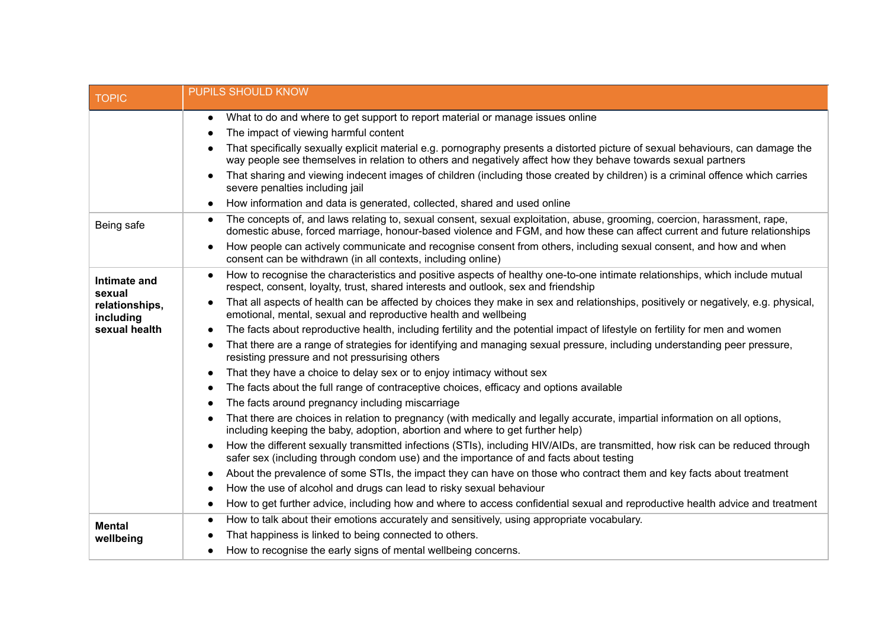| <b>TOPIC</b>                | <b>PUPILS SHOULD KNOW</b>                                                                                                                                                                                                                                          |  |  |  |  |
|-----------------------------|--------------------------------------------------------------------------------------------------------------------------------------------------------------------------------------------------------------------------------------------------------------------|--|--|--|--|
|                             | What to do and where to get support to report material or manage issues online<br>$\bullet$                                                                                                                                                                        |  |  |  |  |
|                             | The impact of viewing harmful content<br>$\bullet$                                                                                                                                                                                                                 |  |  |  |  |
|                             | That specifically sexually explicit material e.g. pornography presents a distorted picture of sexual behaviours, can damage the<br>$\bullet$<br>way people see themselves in relation to others and negatively affect how they behave towards sexual partners      |  |  |  |  |
|                             | That sharing and viewing indecent images of children (including those created by children) is a criminal offence which carries<br>$\bullet$<br>severe penalties including jail                                                                                     |  |  |  |  |
|                             | How information and data is generated, collected, shared and used online<br>$\bullet$                                                                                                                                                                              |  |  |  |  |
| Being safe                  | The concepts of, and laws relating to, sexual consent, sexual exploitation, abuse, grooming, coercion, harassment, rape,<br>$\bullet$<br>domestic abuse, forced marriage, honour-based violence and FGM, and how these can affect current and future relationships |  |  |  |  |
|                             | How people can actively communicate and recognise consent from others, including sexual consent, and how and when<br>$\bullet$<br>consent can be withdrawn (in all contexts, including online)                                                                     |  |  |  |  |
| Intimate and<br>sexual      | How to recognise the characteristics and positive aspects of healthy one-to-one intimate relationships, which include mutual<br>$\bullet$<br>respect, consent, loyalty, trust, shared interests and outlook, sex and friendship                                    |  |  |  |  |
| relationships,<br>including | That all aspects of health can be affected by choices they make in sex and relationships, positively or negatively, e.g. physical,<br>$\bullet$<br>emotional, mental, sexual and reproductive health and wellbeing                                                 |  |  |  |  |
| sexual health               | The facts about reproductive health, including fertility and the potential impact of lifestyle on fertility for men and women<br>$\bullet$                                                                                                                         |  |  |  |  |
|                             | That there are a range of strategies for identifying and managing sexual pressure, including understanding peer pressure,<br>$\bullet$<br>resisting pressure and not pressurising others                                                                           |  |  |  |  |
|                             | That they have a choice to delay sex or to enjoy intimacy without sex<br>$\bullet$                                                                                                                                                                                 |  |  |  |  |
|                             | The facts about the full range of contraceptive choices, efficacy and options available<br>$\bullet$                                                                                                                                                               |  |  |  |  |
|                             | The facts around pregnancy including miscarriage<br>$\bullet$                                                                                                                                                                                                      |  |  |  |  |
|                             | That there are choices in relation to pregnancy (with medically and legally accurate, impartial information on all options,<br>$\bullet$<br>including keeping the baby, adoption, abortion and where to get further help)                                          |  |  |  |  |
|                             | How the different sexually transmitted infections (STIs), including HIV/AIDs, are transmitted, how risk can be reduced through<br>$\bullet$<br>safer sex (including through condom use) and the importance of and facts about testing                              |  |  |  |  |
|                             | About the prevalence of some STIs, the impact they can have on those who contract them and key facts about treatment<br>$\bullet$                                                                                                                                  |  |  |  |  |
|                             | How the use of alcohol and drugs can lead to risky sexual behaviour<br>$\bullet$                                                                                                                                                                                   |  |  |  |  |
|                             | How to get further advice, including how and where to access confidential sexual and reproductive health advice and treatment<br>$\bullet$                                                                                                                         |  |  |  |  |
| <b>Mental</b>               | How to talk about their emotions accurately and sensitively, using appropriate vocabulary.<br>$\bullet$                                                                                                                                                            |  |  |  |  |
| wellbeing                   | That happiness is linked to being connected to others.                                                                                                                                                                                                             |  |  |  |  |
|                             | How to recognise the early signs of mental wellbeing concerns.<br>$\bullet$                                                                                                                                                                                        |  |  |  |  |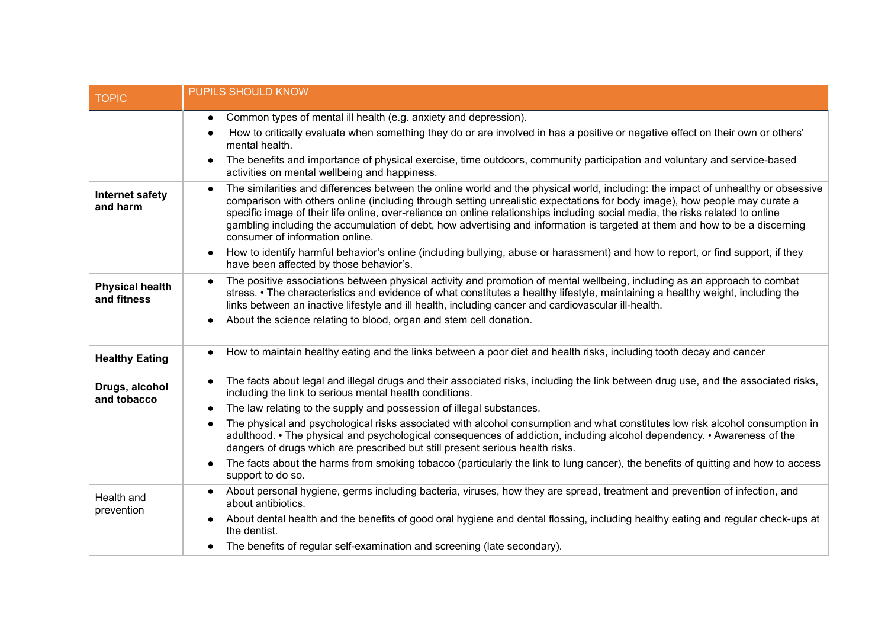| <b>TOPIC</b>                          | <b>PUPILS SHOULD KNOW</b>                                                                                                                                                                                                                                                                                                                                                                                                                                                                                                                                                        |
|---------------------------------------|----------------------------------------------------------------------------------------------------------------------------------------------------------------------------------------------------------------------------------------------------------------------------------------------------------------------------------------------------------------------------------------------------------------------------------------------------------------------------------------------------------------------------------------------------------------------------------|
|                                       | Common types of mental ill health (e.g. anxiety and depression).<br>$\bullet$                                                                                                                                                                                                                                                                                                                                                                                                                                                                                                    |
|                                       | How to critically evaluate when something they do or are involved in has a positive or negative effect on their own or others'<br>mental health.                                                                                                                                                                                                                                                                                                                                                                                                                                 |
|                                       | The benefits and importance of physical exercise, time outdoors, community participation and voluntary and service-based<br>$\bullet$<br>activities on mental wellbeing and happiness.                                                                                                                                                                                                                                                                                                                                                                                           |
| <b>Internet safety</b><br>and harm    | The similarities and differences between the online world and the physical world, including: the impact of unhealthy or obsessive<br>$\bullet$<br>comparison with others online (including through setting unrealistic expectations for body image), how people may curate a<br>specific image of their life online, over-reliance on online relationships including social media, the risks related to online<br>gambling including the accumulation of debt, how advertising and information is targeted at them and how to be a discerning<br>consumer of information online. |
|                                       | How to identify harmful behavior's online (including bullying, abuse or harassment) and how to report, or find support, if they<br>have been affected by those behavior's.                                                                                                                                                                                                                                                                                                                                                                                                       |
| <b>Physical health</b><br>and fitness | The positive associations between physical activity and promotion of mental wellbeing, including as an approach to combat<br>$\bullet$<br>stress. • The characteristics and evidence of what constitutes a healthy lifestyle, maintaining a healthy weight, including the<br>links between an inactive lifestyle and ill health, including cancer and cardiovascular ill-health.                                                                                                                                                                                                 |
|                                       | About the science relating to blood, organ and stem cell donation.<br>$\bullet$                                                                                                                                                                                                                                                                                                                                                                                                                                                                                                  |
| <b>Healthy Eating</b>                 | How to maintain healthy eating and the links between a poor diet and health risks, including tooth decay and cancer<br>$\bullet$                                                                                                                                                                                                                                                                                                                                                                                                                                                 |
| Drugs, alcohol<br>and tobacco         | The facts about legal and illegal drugs and their associated risks, including the link between drug use, and the associated risks,<br>$\bullet$<br>including the link to serious mental health conditions.                                                                                                                                                                                                                                                                                                                                                                       |
|                                       | The law relating to the supply and possession of illegal substances.<br>$\bullet$                                                                                                                                                                                                                                                                                                                                                                                                                                                                                                |
|                                       | The physical and psychological risks associated with alcohol consumption and what constitutes low risk alcohol consumption in<br>$\bullet$<br>adulthood. • The physical and psychological consequences of addiction, including alcohol dependency. • Awareness of the<br>dangers of drugs which are prescribed but still present serious health risks.                                                                                                                                                                                                                           |
|                                       | The facts about the harms from smoking tobacco (particularly the link to lung cancer), the benefits of quitting and how to access<br>$\bullet$<br>support to do so.                                                                                                                                                                                                                                                                                                                                                                                                              |
| Health and<br>prevention              | About personal hygiene, germs including bacteria, viruses, how they are spread, treatment and prevention of infection, and<br>about antibiotics.                                                                                                                                                                                                                                                                                                                                                                                                                                 |
|                                       | About dental health and the benefits of good oral hygiene and dental flossing, including healthy eating and regular check-ups at<br>the dentist.                                                                                                                                                                                                                                                                                                                                                                                                                                 |
|                                       | The benefits of regular self-examination and screening (late secondary).<br>$\bullet$                                                                                                                                                                                                                                                                                                                                                                                                                                                                                            |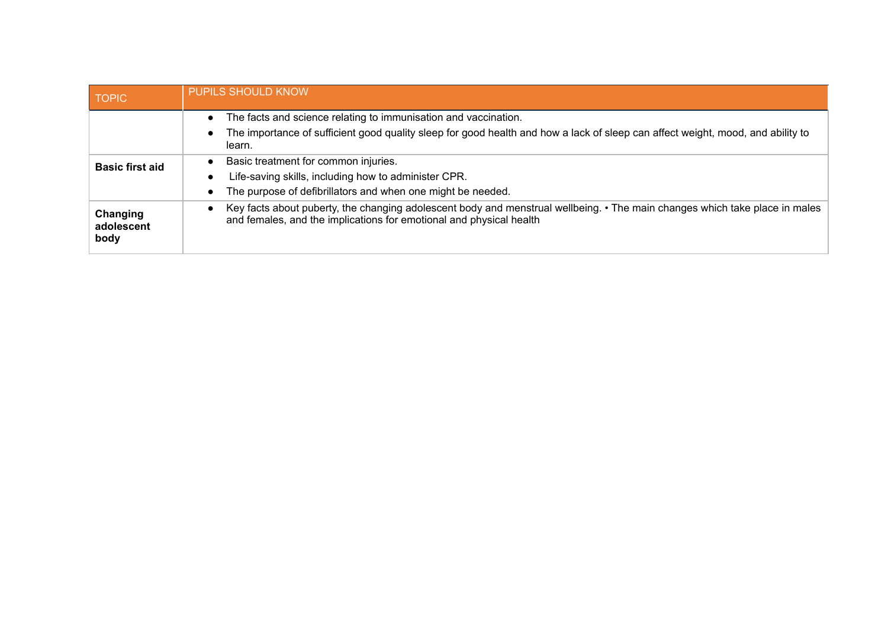| <b>TOPIC</b>                   | <b>PUPILS SHOULD KNOW</b>                                                                                                                                                                                                 |
|--------------------------------|---------------------------------------------------------------------------------------------------------------------------------------------------------------------------------------------------------------------------|
|                                | The facts and science relating to immunisation and vaccination.<br>The importance of sufficient good quality sleep for good health and how a lack of sleep can affect weight, mood, and ability to<br>$\bullet$<br>learn. |
| <b>Basic first aid</b>         | Basic treatment for common injuries.<br>$\bullet$<br>Life-saving skills, including how to administer CPR.<br>The purpose of defibrillators and when one might be needed.<br>$\bullet$                                     |
| Changing<br>adolescent<br>body | Key facts about puberty, the changing adolescent body and menstrual wellbeing. • The main changes which take place in males<br>$\bullet$<br>and females, and the implications for emotional and physical health           |